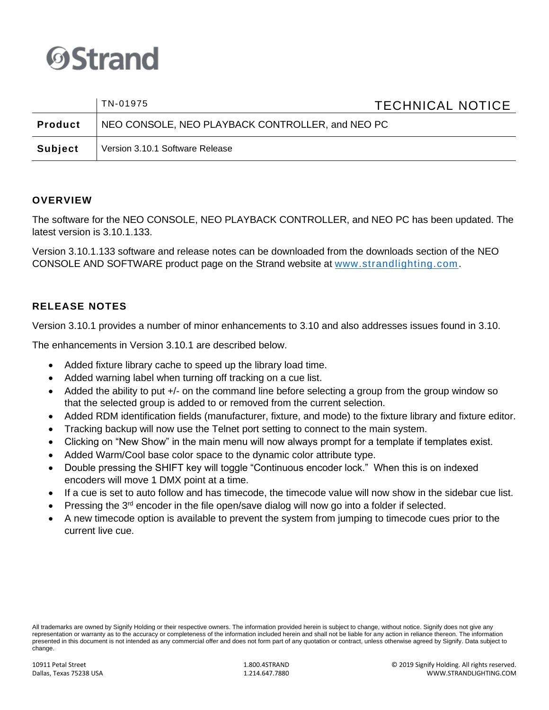

|                | TN-01975                                         | <b>TECHNICAL NOTICE</b> |
|----------------|--------------------------------------------------|-------------------------|
| <b>Product</b> | NEO CONSOLE, NEO PLAYBACK CONTROLLER, and NEO PC |                         |
| Subject        | Version 3.10.1 Software Release                  |                         |

# **OVERVIEW**

The software for the NEO CONSOLE, NEO PLAYBACK CONTROLLER, and NEO PC has been updated. The latest version is 3.10.1.133.

Version 3.10.1.133 software and release notes can be downloaded from the downloads section of the NEO CONSOLE AND SOFTWARE product page on the Strand website at [www.strandlighting.com.](http://www.strandlighting.com/)

# **RELEASE NOTES**

Version 3.10.1 provides a number of minor enhancements to 3.10 and also addresses issues found in 3.10.

The enhancements in Version 3.10.1 are described below.

- Added fixture library cache to speed up the library load time.
- Added warning label when turning off tracking on a cue list.
- Added the ability to put  $+/-$  on the command line before selecting a group from the group window so that the selected group is added to or removed from the current selection.
- Added RDM identification fields (manufacturer, fixture, and mode) to the fixture library and fixture editor.
- Tracking backup will now use the Telnet port setting to connect to the main system.
- Clicking on "New Show" in the main menu will now always prompt for a template if templates exist.
- Added Warm/Cool base color space to the dynamic color attribute type.
- Double pressing the SHIFT key will toggle "Continuous encoder lock." When this is on indexed encoders will move 1 DMX point at a time.
- If a cue is set to auto follow and has timecode, the timecode value will now show in the sidebar cue list.
- Pressing the  $3<sup>rd</sup>$  encoder in the file open/save dialog will now go into a folder if selected.
- A new timecode option is available to prevent the system from jumping to timecode cues prior to the current live cue.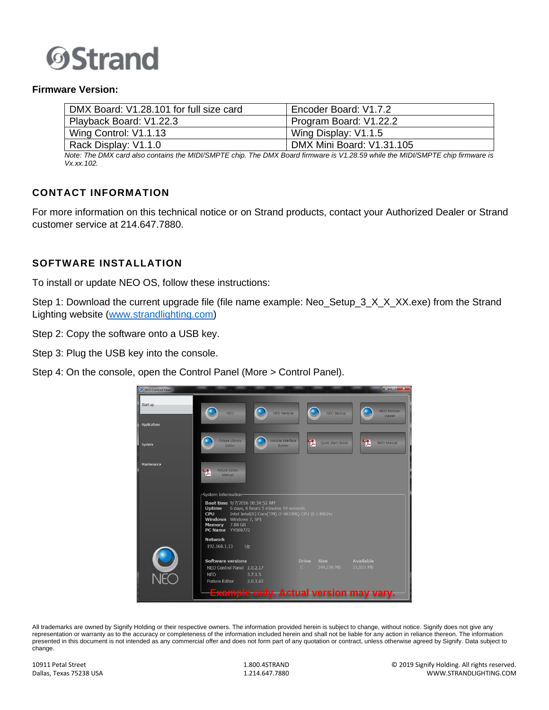

#### **Firmware Version:**

| DMX Board: V1.28.101 for full size card | Encoder Board: V1.7.2     |
|-----------------------------------------|---------------------------|
| Playback Board: V1.22.3                 | Program Board: V1.22.2    |
| Wing Control: V1.1.13                   | Wing Display: V1.1.5      |
| Rack Display: V1.1.0                    | DMX Mini Board: V1.31.105 |

*Note: The DMX card also contains the MIDI/SMPTE chip. The DMX Board firmware is V1.28.59 while the MIDI/SMPTE chip firmware is Vx.xx.102.*

### **CONTACT INFORMATION**

For more information on this technical notice or on Strand products, contact your Authorized Dealer or Strand customer service at 214.647.7880.

#### **SOFTWARE INSTALLATION**

To install or update NEO OS, follow these instructions:

Step 1: Download the current upgrade file (file name example: Neo Setup 3 X X XX.exe) from the Strand Lighting website [\(www.strandlighting.com\)](http://www.strandlighting.com/)

Step 2: Copy the software onto a USB key.

Step 3: Plug the USB key into the console.

Step 4: On the console, open the Control Panel (More > Control Panel).



All trademarks are owned by Signify Holding or their respective owners. The information provided herein is subject to change, without notice. Signify does not give any representation or warranty as to the accuracy or completeness of the information included herein and shall not be liable for any action in reliance thereon. The information presented in this document is not intended as any commercial offer and does not form part of any quotation or contract, unless otherwise agreed by Signify. Data subject to change.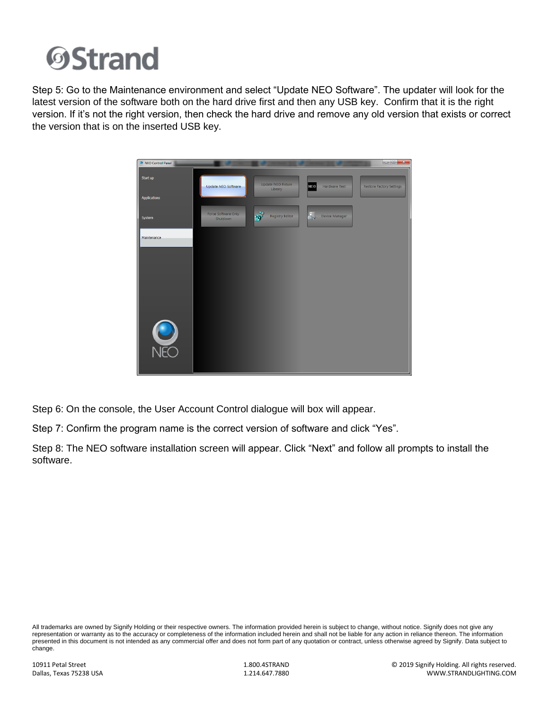

Step 5: Go to the Maintenance environment and select "Update NEO Software". The updater will look for the latest version of the software both on the hard drive first and then any USB key. Confirm that it is the right version. If it's not the right version, then check the hard drive and remove any old version that exists or correct the version that is on the inserted USB key.



Step 6: On the console, the User Account Control dialogue will box will appear.

Step 7: Confirm the program name is the correct version of software and click "Yes".

Step 8: The NEO software installation screen will appear. Click "Next" and follow all prompts to install the software.

All trademarks are owned by Signify Holding or their respective owners. The information provided herein is subject to change, without notice. Signify does not give any representation or warranty as to the accuracy or completeness of the information included herein and shall not be liable for any action in reliance thereon. The information presented in this document is not intended as any commercial offer and does not form part of any quotation or contract, unless otherwise agreed by Signify. Data subject to change.